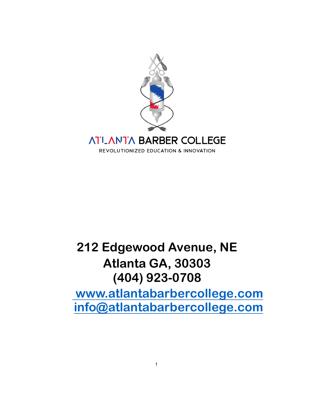

# **212 Edgewood Avenue, NE Atlanta GA, 30303 (404) 923-0708 [www.atlantabarbercollege.com](http://www.barbersurgeonsacademy.com)**

**[info@atlantabarbercollege.com](mailto:info@barbersurgeonsacademy.com)**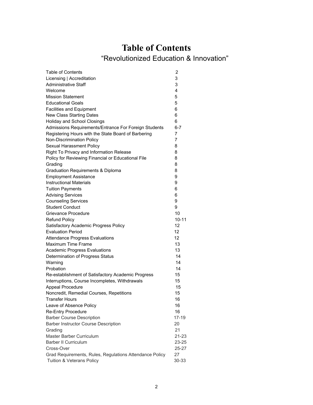# **Table of Contents**

# "Revolutionized Education & Innovation"

| <b>Table of Contents</b>                                | 2         |
|---------------------------------------------------------|-----------|
| Licensing   Accreditation                               | 3         |
| <b>Administrative Staff</b>                             | 3         |
| Welcome                                                 | 4         |
| <b>Mission Statement</b>                                | 5         |
| <b>Educational Goals</b>                                | 5         |
| <b>Facilities and Equipment</b>                         | 6         |
| <b>New Class Starting Dates</b>                         | 6         |
| <b>Holiday and School Closings</b>                      | 6         |
| Admissions Requirements/Entrance For Foreign Students   | 6-7       |
| Registering Hours with the State Board of Barbering     | 7         |
| Non-Discrimination Policy                               | 7         |
| Sexual Harassment Policy                                | 8         |
| Right To Privacy and Information Release                | 8         |
| Policy for Reviewing Financial or Educational File      | 8         |
| Grading                                                 | 8         |
| <b>Graduation Requirements &amp; Diploma</b>            | 8         |
| <b>Employment Assistance</b>                            | 9         |
| <b>Instructional Materials</b>                          | 9         |
| <b>Tuition Payments</b>                                 | 6         |
| <b>Advising Services</b>                                | 6         |
| <b>Counseling Services</b>                              | 9         |
| <b>Student Conduct</b>                                  | 9         |
| Grievance Procedure                                     | 10        |
| <b>Refund Policy</b>                                    | $10 - 11$ |
| Satisfactory Academic Progress Policy                   | 12        |
| <b>Evaluation Period</b>                                | 12        |
| <b>Attendance Progress Evaluations</b>                  | 12        |
| <b>Maximum Time Frame</b>                               | 13        |
| <b>Academic Progress Evaluations</b>                    | 13        |
| Determination of Progress Status                        | 14        |
| Warning                                                 | 14        |
| Probation                                               | 14        |
| Re-establishment of Satisfactory Academic Progress      | 15        |
| Interruptions, Course Incompletes, Withdrawals          | 15        |
| Appeal Procedure                                        | 15        |
| Noncredit, Remedial Courses, Repetitions                | 15        |
| <b>Transfer Hours</b>                                   | 16        |
| Leave of Absence Policy                                 | 16        |
| <b>Re-Entry Procedure</b>                               | 16        |
| <b>Barber Course Description</b>                        | 17-19     |
| <b>Barber Instructor Course Description</b>             | 20        |
| Grading                                                 | 21        |
| Master Barber Curriculum                                | $21 - 23$ |
| <b>Barber II Curriculum</b>                             | 23-25     |
| Cross-Over                                              | 25-27     |
| Grad Requirements, Rules, Regulations Attendance Policy | 27        |
| Tuition & Veterans Policy                               | 30-33     |
|                                                         |           |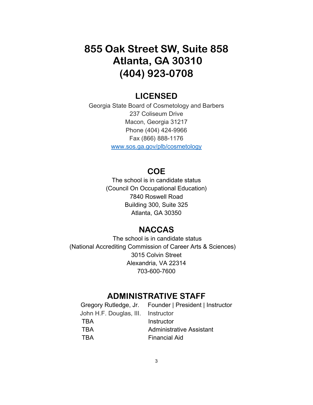# **855 Oak Street SW, Suite 858 Atlanta, GA 30310 (404) 923-0708**

# **LICENSED**

Georgia State Board of Cosmetology and Barbers 237 Coliseum Drive Macon, Georgia 31217 Phone (404) 424-9966 Fax (866) 888-1176 www.sos.ga.gov/plb/cosmetology

# **COE**

The school is in candidate status (Council On Occupational Education) 7840 Roswell Road Building 300, Suite 325 Atlanta, GA 30350

# **NACCAS**

 The school is in candidate status (National Accrediting Commission of Career Arts & Sciences) 3015 Colvin Street Alexandria, VA 22314 703-600-7600

# **ADMINISTRATIVE STAFF**

|                                    | Gregory Rutledge, Jr. Founder   President   Instructor |
|------------------------------------|--------------------------------------------------------|
| John H.F. Douglas, III. Instructor |                                                        |
| <b>TBA</b>                         | Instructor                                             |
| <b>TRA</b>                         | <b>Administrative Assistant</b>                        |
| <b>TRA</b>                         | <b>Financial Aid</b>                                   |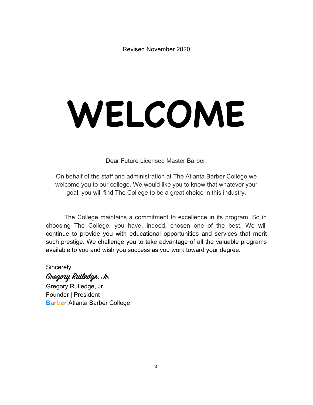Revised November 2020

# **WELCOME**

Dear Future Licensed Master Barber,

On behalf of the staff and administration at The Atlanta Barber College we welcome you to our college. We would like you to know that whatever your goal, you will find The College to be a great choice in this industry.

The College maintains a commitment to excellence in its program. So in choosing The College, you have, indeed, chosen one of the best. We will continue to provide you with educational opportunities and services that merit such prestige. We challenge you to take advantage of all the valuable programs available to you and wish you success as you work toward your degree.

Sincerely,

# **Gregoy Rutledge, Jr**

Gregory Rutledge, Jr. Founder | President **Barber** Atlanta Barber College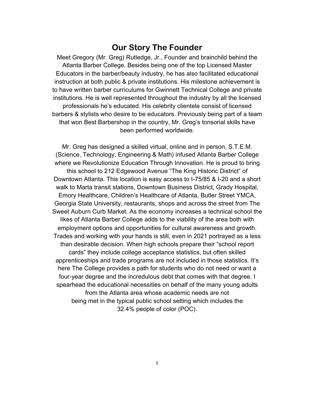# **Our Story The Founder**

Meet Gregory (Mr. Greg) Rutledge, Jr., Founder and brainchild behind the Atlanta Barber College. Besides being one of the top Licensed Master Educators in the barber/beauty industry, he has also facilitated educational instruction at both public & private institutions. His milestone achievement is to have written barber curriculums for Gwinnett Technical College and private institutions. He is well represented throughout the industry by all the licensed professionals he's educated. His celebrity clientele consist of licensed barbers & stylists who desire to be educators. Previously being part of a team that won Best Barbershop in the country, Mr. Greg's tonsorial skills have been performed worldwide.

Mr. Greg has designed a skilled virtual, online and in person, S.T.E.M. (Science, Technology, Engineering & Math) infused Atlanta Barber College where we Revolutionize Education Through Innovation. He is proud to bring this school to 212 Edgewood Avenue "The King Historic District" of Downtown Atlanta. This location is easy access to I-75/85 & I-20 and a short walk to Marta transit stations, Downtown Business District, Grady Hospital, Emory Healthcare, Children's Healthcare of Atlanta, Butler Street YMCA, Georgia State University, restaurants, shops and across the street from The Sweet Auburn Curb Market. As the economy increases a technical school the likes of Atlanta Barber College adds to the viability of the area both with employment options and opportunities for cultural awareness and growth. Trades and working with your hands is still, even in 2021 portrayed as a less than desirable decision. When high schools prepare their "school report cards" they include college acceptance statistics, but often skilled apprenticeships and trade programs are not included in those statistics. It's here The College provides a path for students who do not need or want a four-year degree and the incredulous debt that comes with that degree. I spearhead the educational necessities on behalf of the many young adults from the Atlanta area whose academic needs are not being met in the typical public school setting which includes the 32.4% people of color (POC).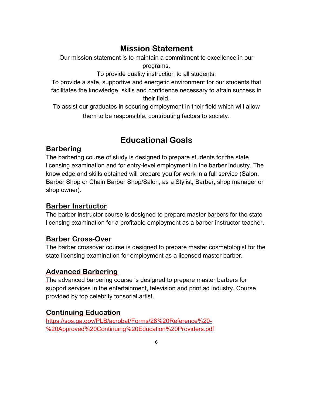# **Mission Statement**

Our mission statement is to maintain a commitment to excellence in our programs.

To provide quality instruction to all students.

To provide a safe, supportive and energetic environment for our students that facilitates the knowledge, skills and confidence necessary to attain success in their field.

To assist our graduates in securing employment in their field which will allow them to be responsible, contributing factors to society.

# **Educational Goals**

# **Barbering**

The barbering course of study is designed to prepare students for the state licensing examination and for entry-level employment in the barber industry. The knowledge and skills obtained will prepare you for work in a full service (Salon, Barber Shop or Chain Barber Shop/Salon, as a Stylist, Barber, shop manager or shop owner).

# **Barber Insrtuctor**

The barber instructor course is designed to prepare master barbers for the state licensing examination for a profitable employment as a barber instructor teacher.

# **Barber Cross-Over**

The barber crossover course is designed to prepare master cosmetologist for the state licensing examination for employment as a licensed master barber.

# **Advanced Barbering**

The advanced barbering course is designed to prepare master barbers for support services in the entertainment, television and print ad industry. Course provided by top celebrity tonsorial artist.

# **Continuing Education**

https://sos.ga.gov/PLB/acrobat/Forms/28%20Reference%20- %20Approved%20Continuing%20Education%20Providers.pdf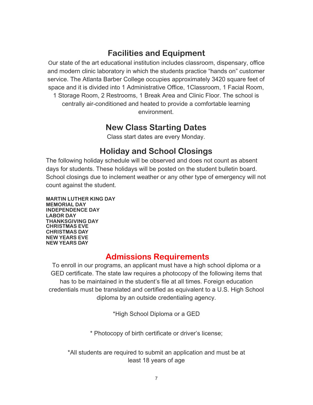# **Facilities and Equipment**

Our state of the art educational institution includes classroom, dispensary, office and modern clinic laboratory in which the students practice "hands on" customer service. The Atlanta Barber College occupies approximately 3420 square feet of space and it is divided into 1 Administrative Office, 1Classroom, 1 Facial Room, 1 Storage Room, 2 Restrooms, 1 Break Area and Clinic Floor. The school is centrally air-conditioned and heated to provide a comfortable learning

environment.

# **New Class Starting Dates**

Class start dates are every Monday.

# **Holiday and School Closings**

The following holiday schedule will be observed and does not count as absent days for students. These holidays will be posted on the student bulletin board. School closings due to inclement weather or any other type of emergency will not count against the student.

**MARTIN LUTHER KING DAY MEMORIAL DAY INDEPENDENCE DAY LABOR DAY THANKSGIVING DAY CHRISTMAS EVE CHRISTMAS DAY NEW YEARS EVE NEW YEARS DAY**

# **Admissions Requirements**

To enroll in our programs, an applicant must have a high school diploma or a GED certificate. The state law requires a photocopy of the following items that has to be maintained in the student's file at all times. Foreign education credentials must be translated and certified as equivalent to a U.S. High School diploma by an outside credentialing agency.

\*High School Diploma or a GED

\* Photocopy of birth certificate or driver's license;

\*All students are required to submit an application and must be at least 18 years of age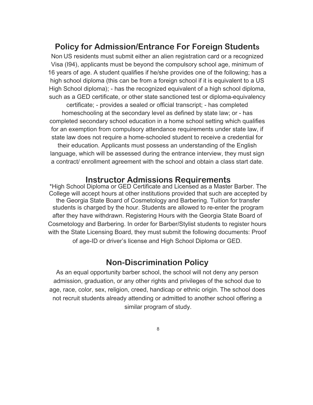# **Policy for Admission/Entrance For Foreign Students**

Non US residents must submit either an alien registration card or a recognized Visa (I94), applicants must be beyond the compulsory school age, minimum of 16 years of age. A student qualifies if he/she provides one of the following; has a high school diploma (this can be from a foreign school if it is equivalent to a US High School diploma); - has the recognized equivalent of a high school diploma, such as a GED certificate, or other state sanctioned test or diploma-equivalency

certificate; - provides a sealed or official transcript; - has completed homeschooling at the secondary level as defined by state law; or - has completed secondary school education in a home school setting which qualifies for an exemption from compulsory attendance requirements under state law, if state law does not require a home-schooled student to receive a credential for their education. Applicants must possess an understanding of the English language, which will be assessed during the entrance interview, they must sign a contract/ enrollment agreement with the school and obtain a class start date.

# **Instructor Admissions Requirements**

\*High School Diploma or GED Certificate and Licensed as a Master Barber. The College will accept hours at other institutions provided that such are accepted by the Georgia State Board of Cosmetology and Barbering. Tuition for transfer students is charged by the hour. Students are allowed to re-enter the program after they have withdrawn. Registering Hours with the Georgia State Board of Cosmetology and Barbering. In order for Barber/Stylist students to register hours with the State Licensing Board, they must submit the following documents: Proof of age-ID or driver's license and High School Diploma or GED.

# **Non-Discrimination Policy**

As an equal opportunity barber school, the school will not deny any person admission, graduation, or any other rights and privileges of the school due to age, race, color, sex, religion, creed, handicap or ethnic origin. The school does not recruit students already attending or admitted to another school offering a similar program of study.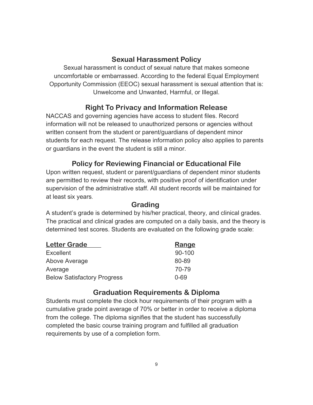# **Sexual Harassment Policy**

Sexual harassment is conduct of sexual nature that makes someone uncomfortable or embarrassed. According to the federal Equal Employment Opportunity Commission (EEOC) sexual harassment is sexual attention that is: Unwelcome and Unwanted, Harmful, or Illegal.

# **Right To Privacy and Information Release**

NACCAS and governing agencies have access to student files. Record information will not be released to unauthorized persons or agencies without written consent from the student or parent/guardians of dependent minor students for each request. The release information policy also applies to parents or guardians in the event the student is still a minor.

# **Policy for Reviewing Financial or Educational File**

Upon written request, student or parent/guardians of dependent minor students are permitted to review their records, with positive proof of identification under supervision of the administrative staff. All student records will be maintained for at least six years.

### **Grading**

A student's grade is determined by his/her practical, theory, and clinical grades. The practical and clinical grades are computed on a daily basis, and the theory is determined test scores. Students are evaluated on the following grade scale:

| <b>Letter Grade</b>                | Range      |
|------------------------------------|------------|
| <b>Excellent</b>                   | $90 - 100$ |
| Above Average                      | 80-89      |
| Average                            | 70-79      |
| <b>Below Satisfactory Progress</b> | $0 - 69$   |

# **Graduation Requirements & Diploma**

Students must complete the clock hour requirements of their program with a cumulative grade point average of 70% or better in order to receive a diploma from the college. The diploma signifies that the student has successfully completed the basic course training program and fulfilled all graduation requirements by use of a completion form.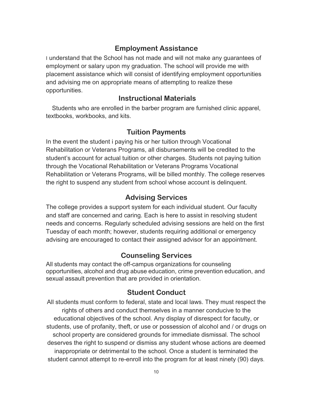# **Employment Assistance**

I understand that the School has not made and will not make any guarantees of employment or salary upon my graduation. The school will provide me with placement assistance which will consist of identifying employment opportunities and advising me on appropriate means of attempting to realize these opportunities.

### **Instructional Materials**

Students who are enrolled in the barber program are furnished clinic apparel, textbooks, workbooks, and kits.

### **Tuition Payments**

In the event the student i paying his or her tuition through Vocational Rehabilitation or Veterans Programs, all disbursements will be credited to the student's account for actual tuition or other charges. Students not paying tuition through the Vocational Rehabilitation or Veterans Programs Vocational Rehabilitation or Veterans Programs, will be billed monthly. The college reserves the right to suspend any student from school whose account is delinquent.

### **Advising Services**

The college provides a support system for each individual student. Our faculty and staff are concerned and caring. Each is here to assist in resolving student needs and concerns. Regularly scheduled advising sessions are held on the first Tuesday of each month; however, students requiring additional or emergency advising are encouraged to contact their assigned advisor for an appointment.

### **Counseling Services**

All students may contact the off-campus organizations for counseling opportunities, alcohol and drug abuse education, crime prevention education, and sexual assault prevention that are provided in orientation.

### **Student Conduct**

All students must conform to federal, state and local laws. They must respect the rights of others and conduct themselves in a manner conducive to the educational objectives of the school. Any display of disrespect for faculty, or students, use of profanity, theft, or use or possession of alcohol and / or drugs on school property are considered grounds for immediate dismissal. The school deserves the right to suspend or dismiss any student whose actions are deemed inappropriate or detrimental to the school. Once a student is terminated the student cannot attempt to re-enroll into the program for at least ninety (90) days.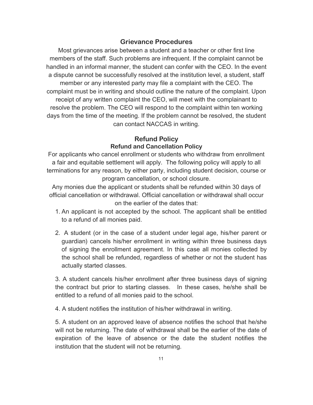### **Grievance Procedures**

Most grievances arise between a student and a teacher or other first line members of the staff. Such problems are infrequent. If the complaint cannot be handled in an informal manner, the student can confer with the CEO. In the event a dispute cannot be successfully resolved at the institution level, a student, staff member or any interested party may file a complaint with the CEO. The complaint must be in writing and should outline the nature of the complaint. Upon receipt of any written complaint the CEO, will meet with the complainant to resolve the problem. The CEO will respond to the complaint within ten working days from the time of the meeting. If the problem cannot be resolved, the student can contact NACCAS in writing.

### **Refund Policy Refund and Cancellation Policy**

For applicants who cancel enrollment or students who withdraw from enrollment a fair and equitable settlement will apply. The following policy will apply to all terminations for any reason, by either party, including student decision, course or program cancellation, or school closure.

Any monies due the applicant or students shall be refunded within 30 days of official cancellation or withdrawal. Official cancellation or withdrawal shall occur on the earlier of the dates that:

- 1. An applicant is not accepted by the school. The applicant shall be entitled to a refund of all monies paid.
- 2. A student (or in the case of a student under legal age, his/her parent or guardian) cancels his/her enrollment in writing within three business days of signing the enrollment agreement. In this case all monies collected by the school shall be refunded, regardless of whether or not the student has actually started classes.

3. A student cancels his/her enrollment after three business days of signing the contract but prior to starting classes. In these cases, he/she shall be entitled to a refund of all monies paid to the school.

4. A student notifies the institution of his/her withdrawal in writing.

5. A student on an approved leave of absence notifies the school that he/she will not be returning. The date of withdrawal shall be the earlier of the date of expiration of the leave of absence or the date the student notifies the institution that the student will not be returning.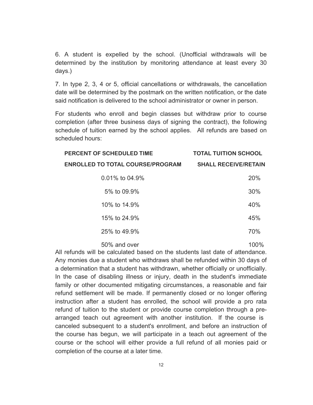6. A student is expelled by the school. (Unofficial withdrawals will be determined by the institution by monitoring attendance at least every 30 days.)

7. In type 2, 3, 4 or 5, official cancellations or withdrawals, the cancellation date will be determined by the postmark on the written notification, or the date said notification is delivered to the school administrator or owner in person.

For students who enroll and begin classes but withdraw prior to course completion (after three business days of signing the contract), the following schedule of tuition earned by the school applies. All refunds are based on scheduled hours:

| PERCENT OF SCHEDULED TIME               | <b>TOTAL TUITION SCHOOL</b> |
|-----------------------------------------|-----------------------------|
| <b>ENROLLED TO TOTAL COURSE/PROGRAM</b> | <b>SHALL RECEIVE/RETAIN</b> |
| $0.01\%$ to 04.9%                       | <b>20%</b>                  |
| 5% to 09.9%                             | 30%                         |
| 10% to 14.9%                            | 40%                         |
| 15% to 24.9%                            | 45%                         |
| 25% to 49.9%                            | 70%                         |
|                                         |                             |

50% and over 100%

All refunds will be calculated based on the students last date of attendance. Any monies due a student who withdraws shall be refunded within 30 days of a determination that a student has withdrawn, whether officially or unofficially. In the case of disabling illness or injury, death in the student's immediate family or other documented mitigating circumstances, a reasonable and fair refund settlement will be made. If permanently closed or no longer offering instruction after a student has enrolled, the school will provide a pro rata refund of tuition to the student or provide course completion through a prearranged teach out agreement with another institution. If the course is canceled subsequent to a student's enrollment, and before an instruction of the course has begun, we will participate in a teach out agreement of the course or the school will either provide a full refund of all monies paid or completion of the course at a later time.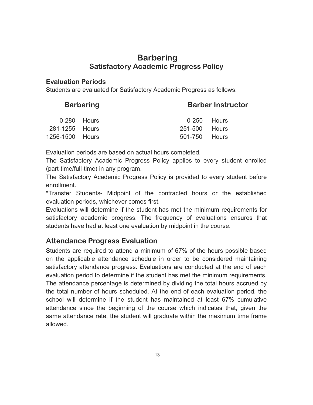# **Barbering Satisfactory Academic Progress Policy**

### **Evaluation Periods**

Students are evaluated for Satisfactory Academic Progress as follows:

| <b>Barbering</b> | <b>Barber Instructor</b> |
|------------------|--------------------------|
|------------------|--------------------------|

|                 | $0-280$ Hours |               | 0-250 Hours |
|-----------------|---------------|---------------|-------------|
| 281-1255 Hours  |               | 251-500 Hours |             |
| 1256-1500 Hours |               | 501-750 Hours |             |

Evaluation periods are based on actual hours completed.

The Satisfactory Academic Progress Policy applies to every student enrolled (part-time/full-time) in any program.

The Satisfactory Academic Progress Policy is provided to every student before enrollment.

\*Transfer Students- Midpoint of the contracted hours or the established evaluation periods, whichever comes first.

Evaluations will determine if the student has met the minimum requirements for satisfactory academic progress. The frequency of evaluations ensures that students have had at least one evaluation by midpoint in the course.

# **Attendance Progress Evaluation**

Students are required to attend a minimum of 67% of the hours possible based on the applicable attendance schedule in order to be considered maintaining satisfactory attendance progress. Evaluations are conducted at the end of each evaluation period to determine if the student has met the minimum requirements. The attendance percentage is determined by dividing the total hours accrued by the total number of hours scheduled. At the end of each evaluation period, the school will determine if the student has maintained at least 67% cumulative attendance since the beginning of the course which indicates that, given the same attendance rate, the student will graduate within the maximum time frame allowed.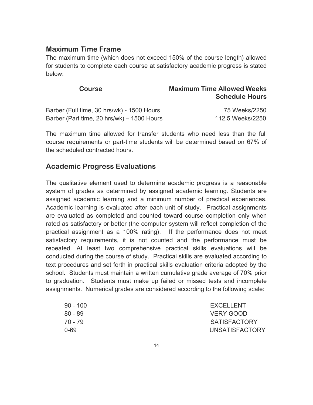### **Maximum Time Frame**

The maximum time (which does not exceed 150% of the course length) allowed for students to complete each course at satisfactory academic progress is stated below:

| <b>Course</b>                              | <b>Maximum Time Allowed Weeks</b><br><b>Schedule Hours</b> |
|--------------------------------------------|------------------------------------------------------------|
| Barber (Full time, 30 hrs/wk) - 1500 Hours | 75 Weeks/2250                                              |
| Barber (Part time, 20 hrs/wk) – 1500 Hours | 112.5 Weeks/2250                                           |

The maximum time allowed for transfer students who need less than the full course requirements or part-time students will be determined based on 67% of the scheduled contracted hours.

# **Academic Progress Evaluations**

The qualitative element used to determine academic progress is a reasonable system of grades as determined by assigned academic learning. Students are assigned academic learning and a minimum number of practical experiences. Academic learning is evaluated after each unit of study. Practical assignments are evaluated as completed and counted toward course completion only when rated as satisfactory or better (the computer system will reflect completion of the practical assignment as a 100% rating). If the performance does not meet satisfactory requirements, it is not counted and the performance must be repeated. At least two comprehensive practical skills evaluations will be conducted during the course of study. Practical skills are evaluated according to text procedures and set forth in practical skills evaluation criteria adopted by the school. Students must maintain a written cumulative grade average of 70% prior to graduation. Students must make up failed or missed tests and incomplete assignments. Numerical grades are considered according to the following scale:

| 90 - 100 | EXCELLENT             |
|----------|-----------------------|
| 80 - 89  | VERY GOOD             |
| 70 - 79  | <b>SATISFACTORY</b>   |
| 0-69     | <b>UNSATISFACTORY</b> |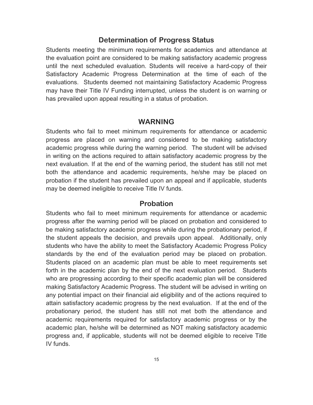### **Determination of Progress Status**

Students meeting the minimum requirements for academics and attendance at the evaluation point are considered to be making satisfactory academic progress until the next scheduled evaluation. Students will receive a hard-copy of their Satisfactory Academic Progress Determination at the time of each of the evaluations. Students deemed not maintaining Satisfactory Academic Progress may have their Title IV Funding interrupted, unless the student is on warning or has prevailed upon appeal resulting in a status of probation.

### **WARNING**

Students who fail to meet minimum requirements for attendance or academic progress are placed on warning and considered to be making satisfactory academic progress while during the warning period. The student will be advised in writing on the actions required to attain satisfactory academic progress by the next evaluation. If at the end of the warning period, the student has still not met both the attendance and academic requirements, he/she may be placed on probation if the student has prevailed upon an appeal and if applicable, students may be deemed ineligible to receive Title IV funds.

### **Probation**

Students who fail to meet minimum requirements for attendance or academic progress after the warning period will be placed on probation and considered to be making satisfactory academic progress while during the probationary period, if the student appeals the decision, and prevails upon appeal. Additionally, only students who have the ability to meet the Satisfactory Academic Progress Policy standards by the end of the evaluation period may be placed on probation. Students placed on an academic plan must be able to meet requirements set forth in the academic plan by the end of the next evaluation period. Students who are progressing according to their specific academic plan will be considered making Satisfactory Academic Progress. The student will be advised in writing on any potential impact on their financial aid eligibility and of the actions required to attain satisfactory academic progress by the next evaluation. If at the end of the probationary period, the student has still not met both the attendance and academic requirements required for satisfactory academic progress or by the academic plan, he/she will be determined as NOT making satisfactory academic progress and, if applicable, students will not be deemed eligible to receive Title IV funds.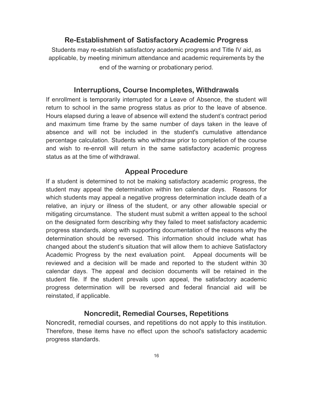### **Re-Establishment of Satisfactory Academic Progress**

Students may re-establish satisfactory academic progress and Title IV aid, as applicable, by meeting minimum attendance and academic requirements by the end of the warning or probationary period.

### **Interruptions, Course Incompletes, Withdrawals**

If enrollment is temporarily interrupted for a Leave of Absence, the student will return to school in the same progress status as prior to the leave of absence. Hours elapsed during a leave of absence will extend the student's contract period and maximum time frame by the same number of days taken in the leave of absence and will not be included in the student's cumulative attendance percentage calculation. Students who withdraw prior to completion of the course and wish to re-enroll will return in the same satisfactory academic progress status as at the time of withdrawal.

### **Appeal Procedure**

If a student is determined to not be making satisfactory academic progress, the student may appeal the determination within ten calendar days. Reasons for which students may appeal a negative progress determination include death of a relative, an injury or illness of the student, or any other allowable special or mitigating circumstance. The student must submit a written appeal to the school on the designated form describing why they failed to meet satisfactory academic progress standards, along with supporting documentation of the reasons why the determination should be reversed. This information should include what has changed about the student's situation that will allow them to achieve Satisfactory Academic Progress by the next evaluation point. Appeal documents will be reviewed and a decision will be made and reported to the student within 30 calendar days. The appeal and decision documents will be retained in the student file. If the student prevails upon appeal, the satisfactory academic progress determination will be reversed and federal financial aid will be reinstated, if applicable.

### **Noncredit, Remedial Courses, Repetitions**

Noncredit, remedial courses, and repetitions do not apply to this institution. Therefore, these items have no effect upon the school's satisfactory academic progress standards.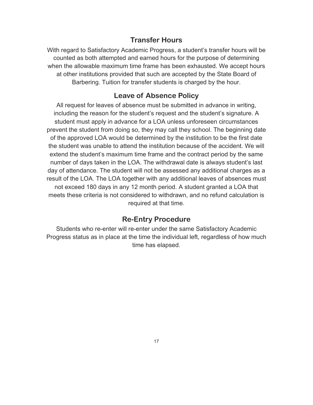# **Transfer Hours**

With regard to Satisfactory Academic Progress, a student's transfer hours will be counted as both attempted and earned hours for the purpose of determining when the allowable maximum time frame has been exhausted. We accept hours at other institutions provided that such are accepted by the State Board of Barbering. Tuition for transfer students is charged by the hour.

# **Leave of Absence Policy**

All request for leaves of absence must be submitted in advance in writing, including the reason for the student's request and the student's signature. A student must apply in advance for a LOA unless unforeseen circumstances prevent the student from doing so, they may call they school. The beginning date of the approved LOA would be determined by the institution to be the first date the student was unable to attend the institution because of the accident. We will extend the student's maximum time frame and the contract period by the same number of days taken in the LOA. The withdrawal date is always student's last day of attendance. The student will not be assessed any additional charges as a result of the LOA. The LOA together with any additional leaves of absences must not exceed 180 days in any 12 month period. A student granted a LOA that meets these criteria is not considered to withdrawn, and no refund calculation is required at that time.

### **Re-Entry Procedure**

Students who re-enter will re-enter under the same Satisfactory Academic Progress status as in place at the time the individual left, regardless of how much time has elapsed.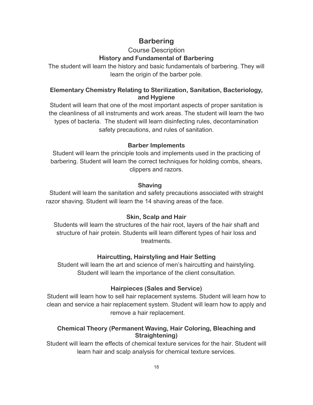# **Barbering**

# Course Description

### **History and Fundamental of Barbering**

The student will learn the history and basic fundamentals of barbering. They will learn the origin of the barber pole.

### **Elementary Chemistry Relating to Sterilization, Sanitation, Bacteriology, and Hygiene**

Student will learn that one of the most important aspects of proper sanitation is the cleanliness of all instruments and work areas. The student will learn the two types of bacteria. The student will learn disinfecting rules, decontamination safety precautions, and rules of sanitation.

### **Barber Implements**

Student will learn the principle tools and implements used in the practicing of barbering. Student will learn the correct techniques for holding combs, shears, clippers and razors.

### **Shaving**

Student will learn the sanitation and safety precautions associated with straight razor shaving. Student will learn the 14 shaving areas of the face.

### **Skin, Scalp and Hair**

Students will learn the structures of the hair root, layers of the hair shaft and structure of hair protein. Students will learn different types of hair loss and treatments.

### **Haircutting, Hairstyling and Hair Setting**

Student will learn the art and science of men's haircutting and hairstyling. Student will learn the importance of the client consultation.

### **Hairpieces (Sales and Service)**

Student will learn how to sell hair replacement systems. Student will learn how to clean and service a hair replacement system. Student will learn how to apply and remove a hair replacement.

### **Chemical Theory (Permanent Waving, Hair Coloring, Bleaching and Straightening)**

Student will learn the effects of chemical texture services for the hair. Student will learn hair and scalp analysis for chemical texture services.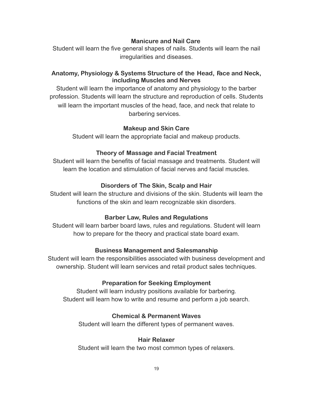### **Manicure and Nail Care**

Student will learn the five general shapes of nails. Students will learn the nail irregularities and diseases.

### **Anatomy, Physiology & Systems Structure of the Head, Face and Neck, including Muscles and Nerves**

Student will learn the importance of anatomy and physiology to the barber profession. Students will learn the structure and reproduction of cells. Students will learn the important muscles of the head, face, and neck that relate to barbering services.

### **Makeup and Skin Care**

Student will learn the appropriate facial and makeup products.

### **Theory of Massage and Facial Treatment**

Student will learn the benefits of facial massage and treatments. Student will learn the location and stimulation of facial nerves and facial muscles.

### **Disorders of The Skin, Scalp and Hair**

Student will learn the structure and divisions of the skin. Students will learn the functions of the skin and learn recognizable skin disorders.

### **Barber Law, Rules and Regulations**

Student will learn barber board laws, rules and regulations. Student will learn how to prepare for the theory and practical state board exam.

### **Business Management and Salesmanship**

Student will learn the responsibilities associated with business development and ownership. Student will learn services and retail product sales techniques.

### **Preparation for Seeking Employment**

Student will learn industry positions available for barbering. Student will learn how to write and resume and perform a job search.

### **Chemical & Permanent Waves**

Student will learn the different types of permanent waves.

### **Hair Relaxer**

Student will learn the two most common types of relaxers.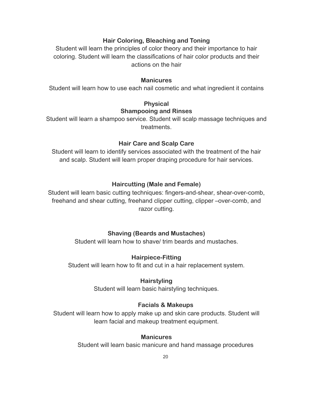### **Hair Coloring, Bleaching and Toning**

Student will learn the principles of color theory and their importance to hair coloring. Student will learn the classifications of hair color products and their actions on the hair

### **Manicures**

Student will learn how to use each nail cosmetic and what ingredient it contains

### **Physical Shampooing and Rinses**

Student will learn a shampoo service. Student will scalp massage techniques and treatments.

### **Hair Care and Scalp Care**

Student will learn to identify services associated with the treatment of the hair and scalp. Student will learn proper draping procedure for hair services.

### **Haircutting (Male and Female)**

Student will learn basic cutting techniques: fingers-and-shear, shear-over-comb, freehand and shear cutting, freehand clipper cutting, clipper –over-comb, and razor cutting.

### **Shaving (Beards and Mustaches)**

Student will learn how to shave/ trim beards and mustaches.

### **Hairpiece-Fitting**

Student will learn how to fit and cut in a hair replacement system.

### **Hairstyling**

Student will learn basic hairstyling techniques.

### **Facials & Makeups**

Student will learn how to apply make up and skin care products. Student will learn facial and makeup treatment equipment.

### **Manicures**

Student will learn basic manicure and hand massage procedures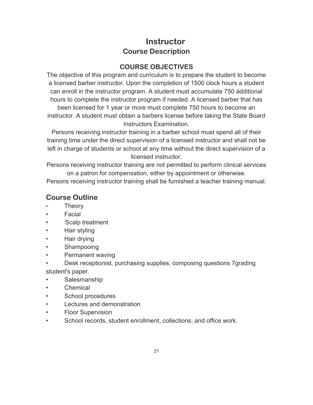# **Instructor Course Description**

# **COURSE OBJECTIVES**

The objective of this program and curriculum is to prepare the student to become a licensed barber instructor. Upon the completion of 1500 clock hours a student can enroll in the instructor program. A student must accumulate 750 additional hours to complete the instructor program if needed. A licensed barber that has

been licensed for 1 year or more must complete 750 hours to become an instructor. A student must obtain a barbers license before taking the State Board Instructors Examination.

Persons receiving instructor training in a barber school must spend all of their training time under the direct supervision of a licensed instructor and shall not be left in charge of students or school at any time without the direct supervision of a licensed instructor.

Persons receiving instructor training are not permitted to perform clinical services on a patron for compensation, either by appointment or otherwise.

Persons receiving instructor training shall be furnished a teacher training manual.

# **Course Outline**

- **Theory**
- Facial
- Scalp treatment
- Hair styling
- Hair drying
- Shampooing
- Permanent waving
- Desk receptionist, purchasing supplies, composing questions 7grading student's paper.
- Salesmanship
- Chemical
- School procedures
- Lectures and demonstration
- **Floor Supervision**
- School records, student enrollment, collections, and office work.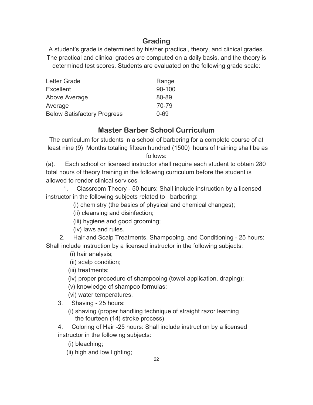# **Grading**

A student's grade is determined by his/her practical, theory, and clinical grades. The practical and clinical grades are computed on a daily basis, and the theory is determined test scores. Students are evaluated on the following grade scale:

| Letter Grade                       | Range      |
|------------------------------------|------------|
| <b>Excellent</b>                   | $90 - 100$ |
| Above Average                      | 80-89      |
| Average                            | 70-79      |
| <b>Below Satisfactory Progress</b> | $0 - 69$   |

# **Master Barber School Curriculum**

The curriculum for students in a school of barbering for a complete course of at least nine (9) Months totaling fifteen hundred (1500) hours of training shall be as follows:

(a). Each school or licensed instructor shall require each student to obtain 280 total hours of theory training in the following curriculum before the student is allowed to render clinical services

1. Classroom Theory - 50 hours: Shall include instruction by a licensed instructor in the following subjects related to barbering:

(i) chemistry (the basics of physical and chemical changes);

- (ii) cleansing and disinfection;
- (iii) hygiene and good grooming;
- (iv) laws and rules.

2. Hair and Scalp Treatments, Shampooing, and Conditioning - 25 hours: Shall include instruction by a licensed instructor in the following subjects:

- (i) hair analysis;
- (ii) scalp condition;
- (iii) treatments;
- (iv) proper procedure of shampooing (towel application, draping);
- (v) knowledge of shampoo formulas;
- (vi) water temperatures.
- 3. Shaving 25 hours:
	- (i) shaving (proper handling technique of straight razor learning the fourteen (14) stroke process)

4. Coloring of Hair -25 hours: Shall include instruction by a licensed instructor in the following subjects:

- (i) bleaching;
- (ii) high and low lighting;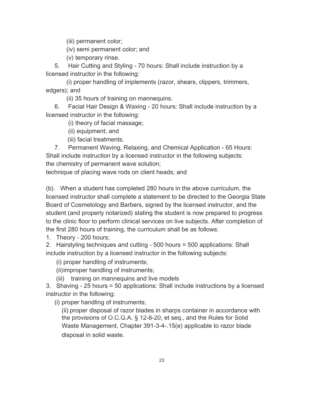(iii) permanent color;

(iv) semi permanent color; and

(v) temporary rinse.

5. Hair Cutting and Styling - 70 hours: Shall include instruction by a licensed instructor in the following:

(i) proper handling of implements (razor, shears, clippers, trimmers, edgers); and

(ii) 35 hours of training on mannequins.

6. Facial Hair Design & Waxing - 20 hours: Shall include instruction by a licensed instructor in the following:

(i) theory of facial massage;

(ii) equipment; and

(iii) facial treatments.

7. Permanent Waving, Relaxing, and Chemical Application - 65 Hours: Shall include instruction by a licensed instructor in the following subjects: the chemistry of permanent wave solution;

technique of placing wave rods on client heads; and

(b). When a student has completed 280 hours in the above curriculum, the licensed instructor shall complete a statement to be directed to the Georgia State Board of Cosmetology and Barbers, signed by the licensed instructor, and the student (and properly notarized) stating the student is now prepared to progress to the clinic floor to perform clinical services on live subjects. After completion of the first 280 hours of training, the curriculum shall be as follows:

1. Theory - 200 hours;

2. Hairstyling techniques and cutting - 500 hours = 500 applications: Shall include instruction by a licensed instructor in the following subjects:

(i) proper handling of instruments;

(ii)improper handling of instruments;

(iii) training on mannequins and live models

3. Shaving - 25 hours = 50 applications: Shall include instructions by a licensed instructor in the following:

(i) proper handling of instruments;

(ii) proper disposal of razor blades in sharps container in accordance with the provisions of O.C.G.A. § 12-8-20, et seq., and the Rules for Solid Waste Management, Chapter 391-3-4-.15(e) applicable to razor blade disposal in solid waste.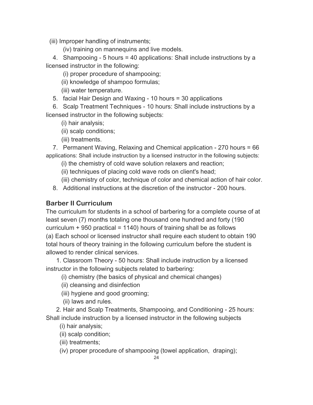(iii) Improper handling of instruments;

(iv) training on mannequins and live models.

4. Shampooing - 5 hours = 40 applications: Shall include instructions by a licensed instructor in the following:

(i) proper procedure of shampooing;

(ii) knowledge of shampoo formulas;

(iii) water temperature.

5. facial Hair Design and Waxing - 10 hours = 30 applications

6. Scalp Treatment Techniques - 10 hours: Shall include instructions by a licensed instructor in the following subjects:

(i) hair analysis;

(ii) scalp conditions;

(iii) treatments.

7. Permanent Waving, Relaxing and Chemical application - 270 hours = 66 applications: Shall include instruction by a licensed instructor in the following subjects:

(i) the chemistry of cold wave solution relaxers and reaction;

(ii) techniques of placing cold wave rods on client's head;

(iii) chemistry of color, technique of color and chemical action of hair color.

8. Additional instructions at the discretion of the instructor - 200 hours.

### **Barber II Curriculum**

The curriculum for students in a school of barbering for a complete course of at least seven (7) months totaling one thousand one hundred and forty (190 curriculum  $+$  950 practical = 1140) hours of training shall be as follows (a) Each school or licensed instructor shall require each student to obtain 190 total hours of theory training in the following curriculum before the student is allowed to render clinical services.

1. Classroom Theory - 50 hours: Shall include instruction by a licensed instructor in the following subjects related to barbering:

(i) chemistry (the basics of physical and chemical changes)

- (ii) cleansing and disinfection
- (iii) hygiene and good grooming;

(ii) laws and rules.

2. Hair and Scalp Treatments, Shampooing, and Conditioning - 25 hours: Shall include instruction by a licensed instructor in the following subjects

(i) hair analysis;

(ii) scalp condition;

(iii) treatments;

(iv) proper procedure of shampooing (towel application, draping);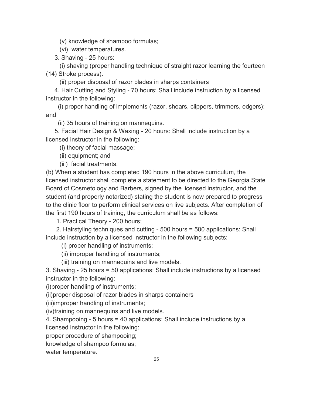(v) knowledge of shampoo formulas;

(vi) water temperatures.

3. Shaving - 25 hours:

(i) shaving (proper handling technique of straight razor learning the fourteen (14) Stroke process).

(ii) proper disposal of razor blades in sharps containers

4. Hair Cutting and Styling - 70 hours: Shall include instruction by a licensed instructor in the following:

(i) proper handling of implements (razor, shears, clippers, trimmers, edgers); and

(ii) 35 hours of training on mannequins.

5. Facial Hair Design & Waxing - 20 hours: Shall include instruction by a licensed instructor in the following:

(i) theory of facial massage;

(ii) equipment; and

(iii) facial treatments.

(b) When a student has completed 190 hours in the above curriculum, the licensed instructor shall complete a statement to be directed to the Georgia State Board of Cosmetology and Barbers, signed by the licensed instructor, and the student (and properly notarized) stating the student is now prepared to progress to the clinic floor to perform clinical services on live subjects. After completion of the first 190 hours of training, the curriculum shall be as follows:

1. Practical Theory - 200 hours;

2. Hairstyling techniques and cutting - 500 hours = 500 applications: Shall include instruction by a licensed instructor in the following subjects:

(i) proper handling of instruments;

(ii) improper handling of instruments;

(iii) training on mannequins and live models.

3. Shaving - 25 hours = 50 applications: Shall include instructions by a licensed instructor in the following:

(i)proper handling of instruments;

(ii)proper disposal of razor blades in sharps containers

(iii)improper handling of instruments;

(iv)training on mannequins and live models.

4. Shampooing - 5 hours = 40 applications: Shall include instructions by a

licensed instructor in the following:

proper procedure of shampooing;

knowledge of shampoo formulas;

water temperature.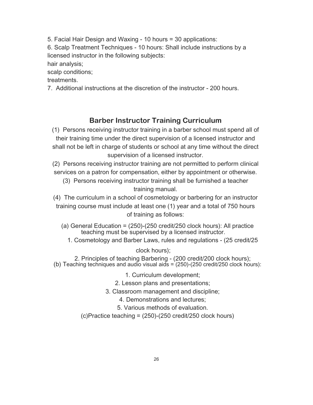5. Facial Hair Design and Waxing - 10 hours = 30 applications:

6. Scalp Treatment Techniques - 10 hours: Shall include instructions by a licensed instructor in the following subjects:

hair analysis;

scalp conditions;

treatments.

7. Additional instructions at the discretion of the instructor - 200 hours.

### **Barber Instructor Training Curriculum**

(1) Persons receiving instructor training in a barber school must spend all of their training time under the direct supervision of a licensed instructor and shall not be left in charge of students or school at any time without the direct supervision of a licensed instructor.

(2) Persons receiving instructor training are not permitted to perform clinical services on a patron for compensation, either by appointment or otherwise.

(3) Persons receiving instructor training shall be furnished a teacher training manual.

(4) The curriculum in a school of cosmetology or barbering for an instructor training course must include at least one (1) year and a total of 750 hours of training as follows:

- (a) General Education = (250)-(250 credit/250 clock hours): All practice teaching must be supervised by a licensed instructor.
	- 1. Cosmetology and Barber Laws, rules and regulations (25 credit/25

clock hours);

2. Principles of teaching Barbering - (200 credit/200 clock hours); (b) Teaching techniques and audio visual aids = (250)-(250 credit/250 clock hours):

1. Curriculum development;

2. Lesson plans and presentations;

3. Classroom management and discipline;

4. Demonstrations and lectures;

5. Various methods of evaluation.

(c)Practice teaching = (250)-(250 credit/250 clock hours)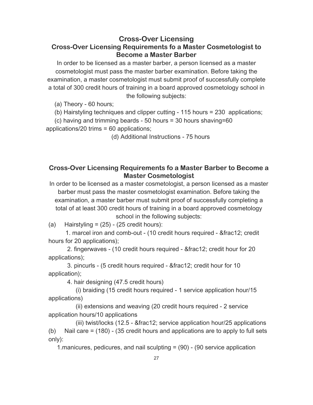### **Cross-Over Licensing Cross-Over Licensing Requirements fo a Master Cosmetologist to Become a Master Barber**

In order to be licensed as a master barber, a person licensed as a master cosmetologist must pass the master barber examination. Before taking the examination, a master cosmetologist must submit proof of successfully complete a total of 300 credit hours of training in a board approved cosmetology school in the following subjects:

(a) Theory - 60 hours;

(b) Hairstyling techniques and clipper cutting - 115 hours = 230 applications;

(c) having and trimming beards - 50 hours = 30 hours shaving=60 applications/20 trims = 60 applications;

(d) Additional Instructions - 75 hours

### **Cross-Over Licensing Requirements fo a Master Barber to Become a Master Cosmetologist**

In order to be licensed as a master cosmetologist, a person licensed as a master barber must pass the master cosmetologist examination. Before taking the examination, a master barber must submit proof of successfully completing a total of at least 300 credit hours of training in a board approved cosmetology school in the following subjects:

(a) Hairstyling =  $(25)$  -  $(25 \text{ credit hours})$ :

1. marcel iron and comb-out - (10 credit hours required - ½ credit hours for 20 applications);

2. fingerwaves - (10 credit hours required - ½ credit hour for 20 applications);

3. pincurls - (5 credit hours required - ½ credit hour for 10 application);

4. hair designing (47.5 credit hours)

(i) braiding (15 credit hours required - 1 service application hour/15 applications)

(ii) extensions and weaving (20 credit hours required - 2 service application hours/10 applications

(iii) twist/locks  $(12.5 - 8$  fract  $2$ ; service application hour/ $25$  applications (b) Nail care = (180) - (35 credit hours and applications are to apply to full sets only):

1.manicures, pedicures, and nail sculpting = (90) - (90 service application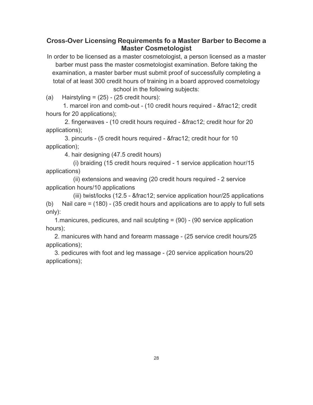### **Cross-Over Licensing Requirements fo a Master Barber to Become a Master Cosmetologist**

In order to be licensed as a master cosmetologist, a person licensed as a master barber must pass the master cosmetologist examination. Before taking the examination, a master barber must submit proof of successfully completing a total of at least 300 credit hours of training in a board approved cosmetology school in the following subjects:

(a) Hairstyling =  $(25)$  -  $(25 \text{ credit hours})$ :

1. marcel iron and comb-out - (10 credit hours required - ½ credit hours for 20 applications);

2. fingerwaves - (10 credit hours required - ½ credit hour for 20 applications);

3. pincurls - (5 credit hours required - ½ credit hour for 10 application);

4. hair designing (47.5 credit hours)

(i) braiding (15 credit hours required - 1 service application hour/15 applications)

(ii) extensions and weaving (20 credit hours required - 2 service application hours/10 applications

(iii) twist/locks  $(12.5 - 8$  fract  $2$ ; service application hour/ $25$  applications (b) Nail care = (180) - (35 credit hours and applications are to apply to full sets only):

1.manicures, pedicures, and nail sculpting = (90) - (90 service application hours);

2. manicures with hand and forearm massage - (25 service credit hours/25 applications);

3. pedicures with foot and leg massage - (20 service application hours/20 applications);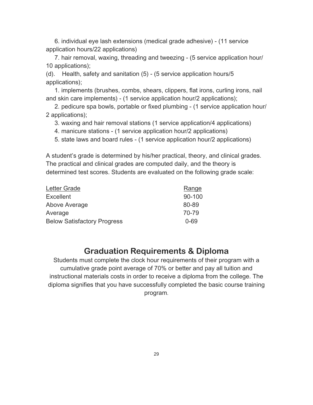6. individual eye lash extensions (medical grade adhesive) - (11 service application hours/22 applications)

7. hair removal, waxing, threading and tweezing - (5 service application hour/ 10 applications);

(d). Health, safety and sanitation (5) - (5 service application hours/5 applications);

1. implements (brushes, combs, shears, clippers, flat irons, curling irons, nail and skin care implements) - (1 service application hour/2 applications);

2. pedicure spa bowls, portable or fixed plumbing - (1 service application hour/ 2 applications);

3. waxing and hair removal stations (1 service application/4 applications)

- 4. manicure stations (1 service application hour/2 applications)
- 5. state laws and board rules (1 service application hour/2 applications)

A student's grade is determined by his/her practical, theory, and clinical grades. The practical and clinical grades are computed daily, and the theory is determined test scores. Students are evaluated on the following grade scale:

| Letter Grade                       | Range  |
|------------------------------------|--------|
| <b>Excellent</b>                   | 90-100 |
| Above Average                      | 80-89  |
| Average                            | 70-79  |
| <b>Below Satisfactory Progress</b> | 0-69   |

# **Graduation Requirements & Diploma**

Students must complete the clock hour requirements of their program with a cumulative grade point average of 70% or better and pay all tuition and instructional materials costs in order to receive a diploma from the college. The diploma signifies that you have successfully completed the basic course training program.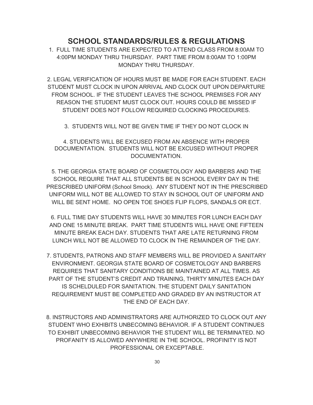### **SCHOOL STANDARDS/RULES & REGULATIONS**

1. FULL TIME STUDENTS ARE EXPECTED TO ATTEND CLASS FROM 8:00AM TO 4:00PM MONDAY THRU THURSDAY. PART TIME FROM 8:00AM TO 1:00PM MONDAY THRU THURSDAY.

2. LEGAL VERIFICATION OF HOURS MUST BE MADE FOR EACH STUDENT. EACH STUDENT MUST CLOCK IN UPON ARRIVAL AND CLOCK OUT UPON DEPARTURE FROM SCHOOL. IF THE STUDENT LEAVES THE SCHOOL PREMISES FOR ANY REASON THE STUDENT MUST CLOCK OUT. HOURS COULD BE MISSED IF STUDENT DOES NOT FOLLOW REQUIRED CLOCKING PROCEDURES.

3. STUDENTS WILL NOT BE GIVEN TIME IF THEY DO NOT CLOCK IN

4. STUDENTS WILL BE EXCUSED FROM AN ABSENCE WITH PROPER DOCUMENTATION. STUDENTS WILL NOT BE EXCUSED WITHOUT PROPER DOCUMENTATION.

5. THE GEORGIA STATE BOARD OF COSMETOLOGY AND BARBERS AND THE SCHOOL REQUIRE THAT ALL STUDENTS BE IN SCHOOL EVERY DAY IN THE PRESCRIBED UNIFORM (School Smock). ANY STUDENT NOT IN THE PRESCRIBED UNIFORM WILL NOT BE ALLOWED TO STAY IN SCHOOL OUT OF UNIFORM AND WILL BE SENT HOME. NO OPEN TOE SHOES FLIP FLOPS, SANDALS OR ECT.

6. FULL TIME DAY STUDENTS WILL HAVE 30 MINUTES FOR LUNCH EACH DAY AND ONE 15 MINUTE BREAK. PART TIME STUDENTS WILL HAVE ONE FIFTEEN MINUTE BREAK EACH DAY. STUDENTS THAT ARE LATE RETURNING FROM LUNCH WILL NOT BE ALLOWED TO CLOCK IN THE REMAINDER OF THE DAY.

7. STUDENTS, PATRONS AND STAFF MEMBERS WILL BE PROVIDED A SANITARY ENVIRONMENT. GEORGIA STATE BOARD OF COSMETOLOGY AND BARBERS REQUIRES THAT SANITARY CONDITIONS BE MAINTAINED AT ALL TIMES. AS PART OF THE STUDENT'S CREDIT AND TRAINING, THIRTY MINUTES EACH DAY IS SCHELDULED FOR SANITATION. THE STUDENT DAILY SANITATION REQUIREMENT MUST BE COMPLETED AND GRADED BY AN INSTRUCTOR AT THE END OF EACH DAY.

8. INSTRUCTORS AND ADMINISTRATORS ARE AUTHORIZED TO CLOCK OUT ANY STUDENT WHO EXHIBITS UNBECOMING BEHAVIOR. IF A STUDENT CONTINUES TO EXHIBIT UNBECOMING BEHAVIOR THE STUDENT WILL BE TERMINATED. NO PROFANITY IS ALLOWED ANYWHERE IN THE SCHOOL. PROFINITY IS NOT PROFESSIONAL OR EXCEPTABLE.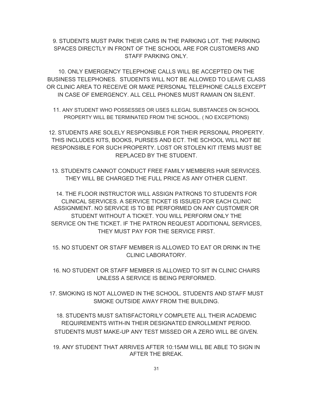### 9. STUDENTS MUST PARK THEIR CARS IN THE PARKING LOT. THE PARKING SPACES DIRECTLY IN FRONT OF THE SCHOOL ARE FOR CUSTOMERS AND STAFF PARKING ONLY.

10. ONLY EMERGENCY TELEPHONE CALLS WILL BE ACCEPTED ON THE BUSINESS TELEPHONES. STUDENTS WILL NOT BE ALLOWED TO LEAVE CLASS OR CLINIC AREA TO RECEIVE OR MAKE PERSONAL TELEPHONE CALLS EXCEPT IN CASE OF EMERGENCY. ALL CELL PHONES MUST RAMAIN ON SILENT.

11. ANY STUDENT WHO POSSESSES OR USES ILLEGAL SUBSTANCES ON SCHOOL PROPERTY WILL BE TERMINATED FROM THE SCHOOL. ( NO EXCEPTIONS)

12. STUDENTS ARE SOLELY RESPONSIBLE FOR THEIR PERSONAL PROPERTY. THIS INCLUDES KITS, BOOKS, PURSES AND ECT. THE SCHOOL WILL NOT BE RESPONSIBLE FOR SUCH PROPERTY. LOST OR STOLEN KIT ITEMS MUST BE REPLACED BY THE STUDENT.

13. STUDENTS CANNOT CONDUCT FREE FAMILY MEMBERS HAIR SERVICES. THEY WILL BE CHARGED THE FULL PRICE AS ANY OTHER CLIENT.

14. THE FLOOR INSTRUCTOR WILL ASSIGN PATRONS TO STUDENTS FOR CLINICAL SERVICES. A SERVICE TICKET IS ISSUED FOR EACH CLINIC ASSIGNMENT. NO SERVICE IS TO BE PERFORMED ON ANY CUSTOMER OR STUDENT WITHOUT A TICKET. YOU WILL PERFORM ONLY THE SERVICE ON THE TICKET. IF THE PATRON REQUEST ADDITIONAL SERVICES, THEY MUST PAY FOR THE SERVICE FIRST.

15. NO STUDENT OR STAFF MEMBER IS ALLOWED TO EAT OR DRINK IN THE CLINIC LABORATORY.

- 16. NO STUDENT OR STAFF MEMBER IS ALLOWED TO SIT IN CLINIC CHAIRS UNLESS A SERVICE IS BEING PERFORMED.
- 17. SMOKING IS NOT ALLOWED IN THE SCHOOL. STUDENTS AND STAFF MUST SMOKE OUTSIDE AWAY FROM THE BUILDING.

18. STUDENTS MUST SATISFACTORILY COMPLETE ALL THEIR ACADEMIC REQUIREMENTS WITH-IN THEIR DESIGNATED ENROLLMENT PERIOD. STUDENTS MUST MAKE-UP ANY TEST MISSED OR A ZERO WILL BE GIVEN.

19. ANY STUDENT THAT ARRIVES AFTER 10:15AM WILL BE ABLE TO SIGN IN AFTER THE BREAK.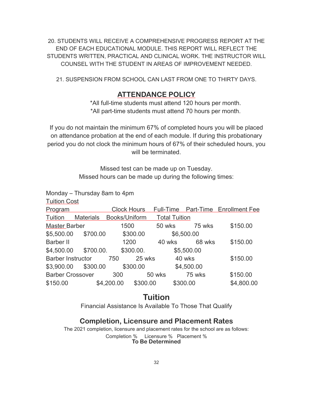20. STUDENTS WILL RECEIVE A COMPREHENSIVE PROGRESS REPORT AT THE END OF EACH EDUCATIONAL MODULE. THIS REPORT WILL REFLECT THE STUDENTS WRITTEN, PRACTICAL AND CLINICAL WORK. THE INSTRUCTOR WILL COUNSEL WITH THE STUDENT IN AREAS OF IMPROVEMENT NEEDED.

21. SUSPENSION FROM SCHOOL CAN LAST FROM ONE TO THIRTY DAYS.

### **ATTENDANCE POLICY**

\*All full-time students must attend 120 hours per month. \*All part-time students must attend 70 hours per month.

If you do not maintain the minimum 67% of completed hours you will be placed on attendance probation at the end of each module. If during this probationary period you do not clock the minimum hours of 67% of their scheduled hours, you will be terminated.

> Missed test can be made up on Tuesday. Missed hours can be made up during the following times:

Monday – Thursday 8am to 4pm

Tuition Cost

| TUILIUIT OUJL            |                  |                    |           |                      |            |                          |
|--------------------------|------------------|--------------------|-----------|----------------------|------------|--------------------------|
| Program                  |                  | <b>Clock Hours</b> |           | Full-Time            |            | Part-Time Enrollment Fee |
| Tuition                  | <b>Materials</b> | Books/Uniform      |           | <b>Total Tuition</b> |            |                          |
| <b>Master Barber</b>     |                  | 1500               |           | 50 wks               | 75 wks     | \$150.00                 |
| \$5,500.00               | \$700.00         |                    | \$300.00  |                      | \$6,500.00 |                          |
| Barber II                |                  |                    | 1200      | 40 wks               | 68 wks     | \$150.00                 |
| \$4,500.00               | \$700.00.        |                    | \$300.00. |                      | \$5,500.00 |                          |
| <b>Barber Instructor</b> |                  | 750                | 25 wks    |                      | 40 wks     | \$150.00                 |
| \$3,900.00               | \$300.00         |                    | \$300.00  |                      | \$4,500.00 |                          |
| <b>Barber Crossover</b>  |                  | 300                |           | 50 wks               | 75 wks     | \$150.00                 |
| \$150.00                 |                  | \$4,200.00         | \$300.00  |                      | \$300.00   | \$4,800.00               |
|                          |                  |                    |           |                      |            |                          |

# **Tuition**

Financial Assistance Is Available To Those That Qualify

# **Completion, Licensure and Placement Rates**

The 2021 completion, licensure and placement rates for the school are as follows: Completion % Licensure % Placement % **To Be Determined**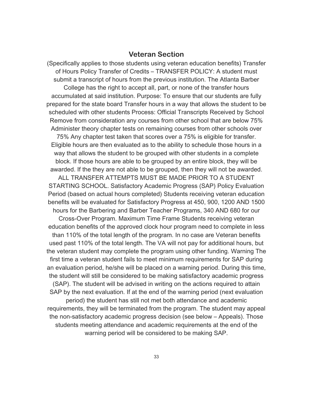### **Veteran Section**

(Specifically applies to those students using veteran education benefits) Transfer of Hours Policy Transfer of Credits – TRANSFER POLICY: A student must submit a transcript of hours from the previous institution. The Atlanta Barber College has the right to accept all, part, or none of the transfer hours accumulated at said institution. Purpose: To ensure that our students are fully prepared for the state board Transfer hours in a way that allows the student to be scheduled with other students Process: Official Transcripts Received by School Remove from consideration any courses from other school that are below 75% Administer theory chapter tests on remaining courses from other schools over 75% Any chapter test taken that scores over a 75% is eligible for transfer. Eligible hours are then evaluated as to the ability to schedule those hours in a way that allows the student to be grouped with other students in a complete block. If those hours are able to be grouped by an entire block, they will be awarded. If the they are not able to be grouped, then they will not be awarded. ALL TRANSFER ATTEMPTS MUST BE MADE PRIOR TO A STUDENT STARTING SCHOOL. Satisfactory Academic Progress (SAP) Policy Evaluation Period (based on actual hours completed) Students receiving veteran education benefits will be evaluated for Satisfactory Progress at 450, 900, 1200 AND 1500 hours for the Barbering and Barber Teacher Programs, 340 AND 680 for our Cross-Over Program. Maximum Time Frame Students receiving veteran education benefits of the approved clock hour program need to complete in less than 110% of the total length of the program. In no case are Veteran benefits used past 110% of the total length. The VA will not pay for additional hours, but the veteran student may complete the program using other funding. Warning The first time a veteran student fails to meet minimum requirements for SAP during an evaluation period, he/she will be placed on a warning period. During this time, the student will still be considered to be making satisfactory academic progress (SAP). The student will be advised in writing on the actions required to attain SAP by the next evaluation. If at the end of the warning period (next evaluation

period) the student has still not met both attendance and academic requirements, they will be terminated from the program. The student may appeal the non-satisfactory academic progress decision (see below – Appeals). Those students meeting attendance and academic requirements at the end of the warning period will be considered to be making SAP.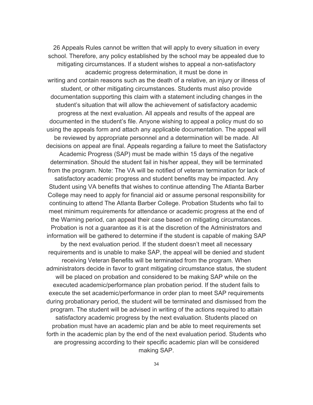26 Appeals Rules cannot be written that will apply to every situation in every school. Therefore, any policy established by the school may be appealed due to mitigating circumstances. If a student wishes to appeal a non-satisfactory academic progress determination, it must be done in writing and contain reasons such as the death of a relative, an injury or illness of student, or other mitigating circumstances. Students must also provide documentation supporting this claim with a statement including changes in the student's situation that will allow the achievement of satisfactory academic progress at the next evaluation. All appeals and results of the appeal are documented in the student's file. Anyone wishing to appeal a policy must do so using the appeals form and attach any applicable documentation. The appeal will be reviewed by appropriate personnel and a determination will be made. All decisions on appeal are final. Appeals regarding a failure to meet the Satisfactory Academic Progress (SAP) must be made within 15 days of the negative determination. Should the student fail in his/her appeal, they will be terminated from the program. Note: The VA will be notified of veteran termination for lack of satisfactory academic progress and student benefits may be impacted. Any Student using VA benefits that wishes to continue attending The Atlanta Barber College may need to apply for financial aid or assume personal responsibility for continuing to attend The Atlanta Barber College. Probation Students who fail to meet minimum requirements for attendance or academic progress at the end of the Warning period, can appeal their case based on mitigating circumstances. Probation is not a guarantee as it is at the discretion of the Administrators and information will be gathered to determine if the student is capable of making SAP by the next evaluation period. If the student doesn't meet all necessary requirements and is unable to make SAP, the appeal will be denied and student receiving Veteran Benefits will be terminated from the program. When administrators decide in favor to grant mitigating circumstance status, the student will be placed on probation and considered to be making SAP while on the executed academic/performance plan probation period. If the student fails to execute the set academic/performance in order plan to meet SAP requirements during probationary period, the student will be terminated and dismissed from the program. The student will be advised in writing of the actions required to attain satisfactory academic progress by the next evaluation. Students placed on probation must have an academic plan and be able to meet requirements set forth in the academic plan by the end of the next evaluation period. Students who are progressing according to their specific academic plan will be considered making SAP.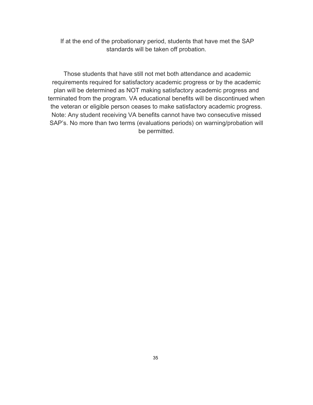If at the end of the probationary period, students that have met the SAP standards will be taken off probation.

 Those students that have still not met both attendance and academic requirements required for satisfactory academic progress or by the academic plan will be determined as NOT making satisfactory academic progress and terminated from the program. VA educational benefits will be discontinued when the veteran or eligible person ceases to make satisfactory academic progress. Note: Any student receiving VA benefits cannot have two consecutive missed SAP's. No more than two terms (evaluations periods) on warning/probation will be permitted.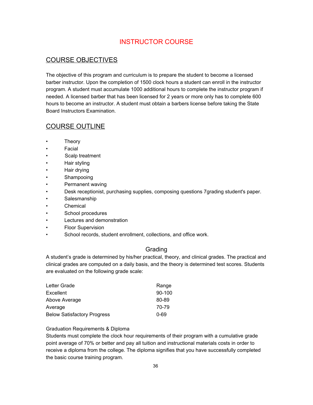# INSTRUCTOR COURSE

### COURSE OBJECTIVES

The objective of this program and curriculum is to prepare the student to become a licensed barber instructor. Upon the completion of 1500 clock hours a student can enroll in the instructor program. A student must accumulate 1000 additional hours to complete the instructor program if needed. A licensed barber that has been licensed for 2 years or more only has to complete 600 hours to become an instructor. A student must obtain a barbers license before taking the State Board Instructors Examination.

### COURSE OUTLINE

- **Theory**
- **Facial**
- Scalp treatment
- Hair styling
- Hair drying
- Shampooing
- Permanent waving
- Desk receptionist, purchasing supplies, composing questions 7grading student's paper.
- Salesmanship
- Chemical
- School procedures
- Lectures and demonstration
- Floor Supervision
- School records, student enrollment, collections, and office work.

### Grading

A student's grade is determined by his/her practical, theory, and clinical grades. The practical and clinical grades are computed on a daily basis, and the theory is determined test scores. Students are evaluated on the following grade scale:

| Letter Grade                       | Range  |
|------------------------------------|--------|
| <b>Excellent</b>                   | 90-100 |
| Above Average                      | 80-89  |
| Average                            | 70-79  |
| <b>Below Satisfactory Progress</b> | 0-69   |

### Graduation Requirements & Diploma

Students must complete the clock hour requirements of their program with a cumulative grade point average of 70% or better and pay all tuition and instructional materials costs in order to receive a diploma from the college. The diploma signifies that you have successfully completed the basic course training program.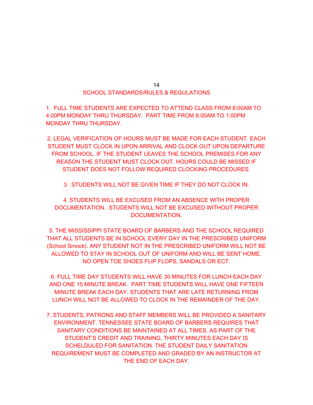# SCHOOL STANDARDS/RULES & REGULATIONS

1. FULL TIME STUDENTS ARE EXPECTED TO ATTEND CLASS FROM 8:00AM TO 4:00PM MONDAY THRU THURSDAY. PART TIME FROM 8:00AM TO 1:00PM MONDAY THRU THURSDAY.

2. LEGAL VERIFICATION OF HOURS MUST BE MADE FOR EACH STUDENT. EACH STUDENT MUST CLOCK IN UPON ARRIVAL AND CLOCK OUT UPON DEPARTURE FROM SCHOOL. IF THE STUDENT LEAVES THE SCHOOL PREMISES FOR ANY REASON THE STUDENT MUST CLOCK OUT. HOURS COULD BE MISSED IF STUDENT DOES NOT FOLLOW REQUIRED CLOCKING PROCEDURES.

3. STUDENTS WILL NOT BE GIVEN TIME IF THEY DO NOT CLOCK IN.

4. STUDENTS WILL BE EXCUSED FROM AN ABSENCE WITH PROPER DOCUMENTATION. STUDENTS WILL NOT BE EXCUSED WITHOUT PROPER DOCUMENTATION.

5. THE MISSISSIPPI STATE BOARD OF BARBERS AND THE SCHOOL REQUIRED THAT ALL STUDENTS BE IN SCHOOL EVERY DAY IN THE PRESCRIBED UNIFORM (School Smock). ANY STUDENT NOT IN THE PRESCRIBED UNIFORM WILL NOT BE ALLOWED TO STAY IN SCHOOL OUT OF UNIFORM AND WILL BE SENT HOME. NO OPEN TOE SHOES FLIP FLOPS, SANDALS OR ECT.

6. FULL TIME DAY STUDENTS WILL HAVE 30 MINUTES FOR LUNCH EACH DAY AND ONE 15 MINUTE BREAK. PART TIME STUDENTS WILL HAVE ONE FIFTEEN MINUTE BREAK EACH DAY. STUDENTS THAT ARE LATE RETURNING FROM LUNCH WILL NOT BE ALLOWED TO CLOCK IN THE REMAINDER OF THE DAY.

7. STUDENTS, PATRONS AND STAFF MEMBERS WILL BE PROVIDED A SANITARY ENVIRONMENT. TENNESSEE STATE BOARD OF BARBERS REQUIRES THAT SANITARY CONDITIONS BE MAINTAINED AT ALL TIMES. AS PART OF THE STUDENT'S CREDIT AND TRAINING, THIRTY MINUTES EACH DAY IS SCHELDULED FOR SANITATION. THE STUDENT DAILY SANITATION REQUIREMENT MUST BE COMPLETED AND GRADED BY AN INSTRUCTOR AT THE END OF EACH DAY.

14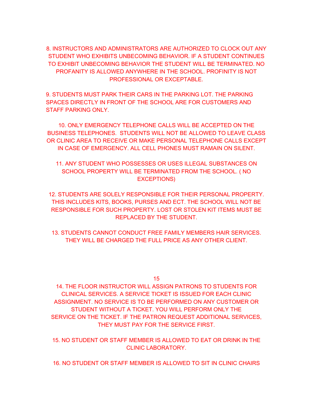8. INSTRUCTORS AND ADMINISTRATORS ARE AUTHORIZED TO CLOCK OUT ANY STUDENT WHO EXHIBITS UNBECOMING BEHAVIOR. IF A STUDENT CONTINUES TO EXHIBIT UNBECOMING BEHAVIOR THE STUDENT WILL BE TERMINATED. NO PROFANITY IS ALLOWED ANYWHERE IN THE SCHOOL. PROFINITY IS NOT PROFESSIONAL OR EXCEPTABLE.

9. STUDENTS MUST PARK THEIR CARS IN THE PARKING LOT. THE PARKING SPACES DIRECTLY IN FRONT OF THE SCHOOL ARE FOR CUSTOMERS AND STAFF PARKING ONLY.

10. ONLY EMERGENCY TELEPHONE CALLS WILL BE ACCEPTED ON THE BUSINESS TELEPHONES. STUDENTS WILL NOT BE ALLOWED TO LEAVE CLASS OR CLINIC AREA TO RECEIVE OR MAKE PERSONAL TELEPHONE CALLS EXCEPT IN CASE OF EMERGENCY. ALL CELL PHONES MUST RAMAIN ON SILENT.

11. ANY STUDENT WHO POSSESSES OR USES ILLEGAL SUBSTANCES ON SCHOOL PROPERTY WILL BE TERMINATED FROM THE SCHOOL. ( NO EXCEPTIONS)

12. STUDENTS ARE SOLELY RESPONSIBLE FOR THEIR PERSONAL PROPERTY. THIS INCLUDES KITS, BOOKS, PURSES AND ECT. THE SCHOOL WILL NOT BE RESPONSIBLE FOR SUCH PROPERTY. LOST OR STOLEN KIT ITEMS MUST BE REPLACED BY THE STUDENT.

13. STUDENTS CANNOT CONDUCT FREE FAMILY MEMBERS HAIR SERVICES. THEY WILL BE CHARGED THE FULL PRICE AS ANY OTHER CLIENT.

15

14. THE FLOOR INSTRUCTOR WILL ASSIGN PATRONS TO STUDENTS FOR CLINICAL SERVICES. A SERVICE TICKET IS ISSUED FOR EACH CLINIC ASSIGNMENT. NO SERVICE IS TO BE PERFORMED ON ANY CUSTOMER OR STUDENT WITHOUT A TICKET. YOU WILL PERFORM ONLY THE SERVICE ON THE TICKET. IF THE PATRON REQUEST ADDITIONAL SERVICES, THEY MUST PAY FOR THE SERVICE FIRST.

15. NO STUDENT OR STAFF MEMBER IS ALLOWED TO EAT OR DRINK IN THE CLINIC LABORATORY.

16. NO STUDENT OR STAFF MEMBER IS ALLOWED TO SIT IN CLINIC CHAIRS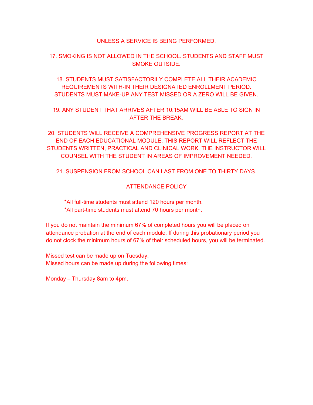### UNLESS A SERVICE IS BEING PERFORMED.

### 17. SMOKING IS NOT ALLOWED IN THE SCHOOL. STUDENTS AND STAFF MUST SMOKE OUTSIDE.

18. STUDENTS MUST SATISFACTORILY COMPLETE ALL THEIR ACADEMIC REQUIREMENTS WITH-IN THEIR DESIGNATED ENROLLMENT PERIOD. STUDENTS MUST MAKE-UP ANY TEST MISSED OR A ZERO WILL BE GIVEN.

19. ANY STUDENT THAT ARRIVES AFTER 10:15AM WILL BE ABLE TO SIGN IN AFTER THE BREAK.

20. STUDENTS WILL RECEIVE A COMPREHENSIVE PROGRESS REPORT AT THE END OF EACH EDUCATIONAL MODULE. THIS REPORT WILL REFLECT THE STUDENTS WRITTEN, PRACTICAL AND CLINICAL WORK. THE INSTRUCTOR WILL COUNSEL WITH THE STUDENT IN AREAS OF IMPROVEMENT NEEDED.

21. SUSPENSION FROM SCHOOL CAN LAST FROM ONE TO THIRTY DAYS.

### ATTENDANCE POLICY

 \*All full-time students must attend 120 hours per month. \*All part-time students must attend 70 hours per month.

If you do not maintain the minimum 67% of completed hours you will be placed on attendance probation at the end of each module. If during this probationary period you do not clock the minimum hours of 67% of their scheduled hours, you will be terminated.

Missed test can be made up on Tuesday. Missed hours can be made up during the following times:

Monday – Thursday 8am to 4pm.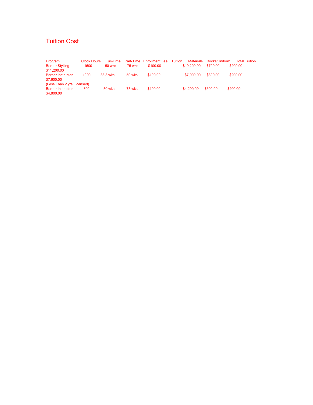# Tuition Cost

| <b>Program</b>             | Clock Hours | Full-Time |          | <b>Part-Time Enrollment Fee Tuition</b> | Materials   | Books/Uniform | Total Tuition |
|----------------------------|-------------|-----------|----------|-----------------------------------------|-------------|---------------|---------------|
| <b>Barber Styliing</b>     | 1500        | 50 wks    | 75 wks   | \$100.00                                | \$10,200.00 | \$700.00      | \$200.00      |
| \$11,200.00                |             |           |          |                                         |             |               |               |
| <b>Barber Instructor</b>   | 1000        | 33.3 wks  | $50$ wks | \$100.00                                | \$7,000.00  | \$300.00      | \$200.00      |
| \$7,600.00                 |             |           |          |                                         |             |               |               |
| (Less Than 2 yrs Licensed) |             |           |          |                                         |             |               |               |
| <b>Barber Instructor</b>   | 600         | 50 wks    | 75 wks   | \$100.00                                | \$4,200.00  | \$300.00      | \$200.00      |
| \$4,800.00                 |             |           |          |                                         |             |               |               |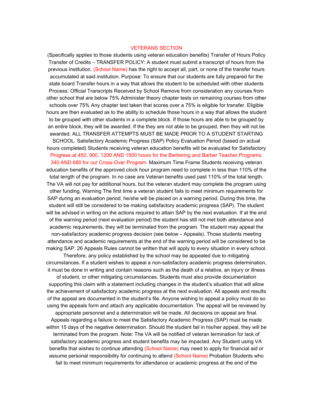### VETERANS SECTION

(Specifically applies to those students using veteran education benefits) Transfer of Hours Policy Transfer of Credits – TRANSFER POLICY: A student must submit a transcript of hours from the previous institution. (School Name) has the right to accept all, part, or none of the transfer hours accumulated at said institution. Purpose: To ensure that our students are fully prepared for the state board Transfer hours in a way that allows the student to be scheduled with other students Process: Official Transcripts Received by School Remove from consideration any courses from other school that are below 75% Administer theory chapter tests on remaining courses from other schools over 75% Any chapter test taken that scores over a 75% is eligible for transfer. Eligible hours are then evaluated as to the ability to schedule those hours in a way that allows the student to be grouped with other students in a complete block. If those hours are able to be grouped by an entire block, they will be awarded. If the they are not able to be grouped, then they will not be awarded. ALL TRANSFER ATTEMPTS MUST BE MADE PRIOR TO A STUDENT STARTING SCHOOL. Satisfactory Academic Progress (SAP) Policy Evaluation Period (based on actual hours completed) Students receiving veteran education benefits will be evaluated for Satisfactory Progress at 450, 900, 1200 AND 1500 hours for the Barbering and Barber Teacher Programs, 340 AND 680 for our Cross-Over Program. Maximum Time Frame Students receiving veteran education benefits of the approved clock hour program need to complete in less than 110% of the total length of the program. In no case are Veteran benefits used past 110% of the total length. The VA will not pay for additional hours, but the veteran student may complete the program using other funding. Warning The first time a veteran student fails to meet minimum requirements for SAP during an evaluation period, he/she will be placed on a warning period. During this time, the student will still be considered to be making satisfactory academic progress (SAP). The student will be advised in writing on the actions required to attain SAP by the next evaluation. If at the end of the warning period (next evaluation period) the student has still not met both attendance and academic requirements, they will be terminated from the program. The student may appeal the non-satisfactory academic progress decision (see below – Appeals). Those students meeting attendance and academic requirements at the end of the warning period will be considered to be making SAP. 26 Appeals Rules cannot be written that will apply to every situation in every school.

Therefore, any policy established by the school may be appealed due to mitigating circumstances. If a student wishes to appeal a non-satisfactory academic progress determination, it must be done in writing and contain reasons such as the death of a relative, an injury or illness

of student, or other mitigating circumstances. Students must also provide documentation supporting this claim with a statement including changes in the student's situation that will allow the achievement of satisfactory academic progress at the next evaluation. All appeals and results of the appeal are documented in the student's file. Anyone wishing to appeal a policy must do so using the appeals form and attach any applicable documentation. The appeal will be reviewed by

appropriate personnel and a determination will be made. All decisions on appeal are final. Appeals regarding a failure to meet the Satisfactory Academic Progress (SAP) must be made within 15 days of the negative determination. Should the student fail in his/her appeal, they will be terminated from the program. Note: The VA will be notified of veteran termination for lack of satisfactory academic progress and student benefits may be impacted. Any Student using VA benefits that wishes to continue attending (School Name) may need to apply for financial aid or assume personal responsibility for continuing to attend (School Name) Probation Students who fail to meet minimum requirements for attendance or academic progress at the end of the